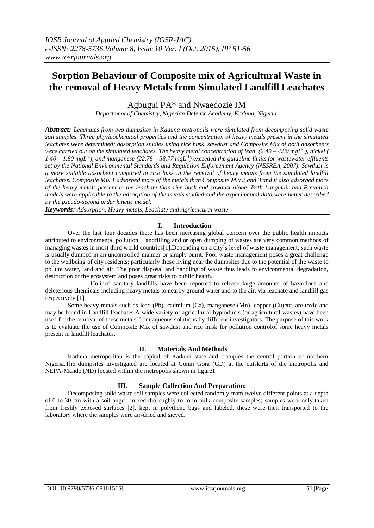# **Sorption Behaviour of Composite mix of Agricultural Waste in the removal of Heavy Metals from Simulated Landfill Leachates**

Agbugui PA\* and Nwaedozie JM

*Department of Chemistry, Nigerian Defense Academy, Kaduna, Nigeria.*

*Abstract: Leachates from two dumpsites in Kaduna metropolis were simulated from decomposing solid waste soil samples. Three physicochemical properties and the concentration of heavy metals present in the simulated leachates were determined; adsorption studies using rice husk, sawdust and Composite Mix of both adsorbents were carried out on the simulated leachates. The heavy metal concentration of lead (2.49 – 4.80 mgL-1 ), nickel (*   $1.40 - 1.80$  mgL<sup>-1</sup>), and manganese (22.78 – 58.77 mgL<sup>-1</sup>) exceeded the guideline limits for wastewater effluents *set by the National Environmental Standards and Regulation Enforcement Agency (NESREA, 2007). Sawdust is a more suitable adsorbent compared to rice husk in the removal of heavy metals from the simulated landfill leachates. Composite Mix 1 adsorbed more of the metals than Composite Mix 2 and 3 and it also adsorbed more of the heavy metals present in the leachate than rice husk and sawdust alone. Both Langmuir and Freunlich models were applicable to the adsorption of the metals studied and the experimental data were better described by the pseudo-second order kinetic model.*

*Keywords: Adsorption, Heavy metals, Leachate and Agriculcural waste*

#### **I. Introduction**

Over the last four decades there has been increasing global concern over the public health impacts attributed to environmental pollution. Landfilling and or open dumping of wastes are very common methods of managing wastes in most third world countries[1]. Depending on a city's level of waste management, such waste is usually dumped in an uncontrolled manner or simply burnt. Poor waste management poses a great challenge to the wellbeing of city residents; particularly those living near the dumpsites due to the potential of the waste to pollute water, land and air. The poor disposal and handling of waste thus leads to environmental degradation, destruction of the ecosystem and poses great risks to public health.

Unlined sanitary landfills have been reported to release large amounts of hazardous and deleterious chemicals including heavy metals to nearby ground water and to the air, via leachate and landfill gas respectively [1].

Some heavy metals such as lead (Pb); cadmium (Ca), manganese (Mn), copper (Cu)etc. are toxic and may be found in Landfill leachates.A wide variety of agricultural byproducts (or agricultural wastes) have been used for the removal of these metals from aqueous solutions by different investigators. The purpose of this work is to evaluate the use of Composite Mix of sawdust and rice husk for pollution controlof some heavy metals present in landfill leachates.

#### **II. Materials And Methods**

Kaduna metropolitan is the capital of Kaduna state and occupies the central portion of northern Nigeria.The dumpsites investigated are located at Gonin Gora (GD) at the outskirts of the metropolis and NEPA-Mando (ND) located within the metropolis shown in figure1.

#### **III. Sample Collection And Preparation:**

Decomposing solid waste soil samples were collected randomly from twelve different points at a depth of 0 to 30 cm with a soil auger, mixed thoroughly to form bulk composite samples; samples were only taken from freshly exposed surfaces [2], kept in polythene bags and labeled, these were then transported to the laboratory where the samples were air-dried and sieved.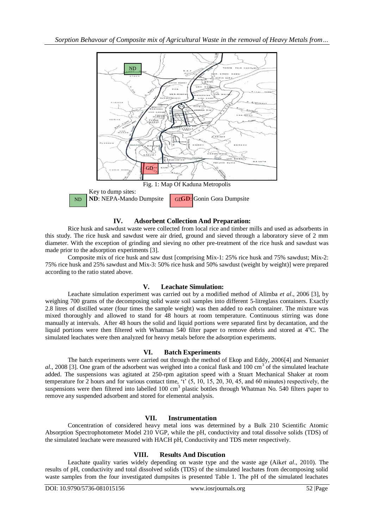

**IV. Adsorbent Collection And Preparation:**

Rice husk and sawdust waste were collected from local rice and timber mills and used as adsorbents in this study. The rice husk and sawdust were air dried, ground and sieved through a laboratory sieve of 2 mm diameter. With the exception of grinding and sieving no other pre-treatment of the rice husk and sawdust was made prior to the adsorption experiments [3].

Composite mix of rice husk and saw dust [comprising Mix-1: 25% rice husk and 75% sawdust; Mix-2: 75% rice husk and 25% sawdust and Mix-3: 50% rice husk and 50% sawdust (weight by weight)] were prepared according to the ratio stated above.

## **V. Leachate Simulation:**

Leachate simulation experiment was carried out by a modified method of Alimba *et al*., 2006 [3], by weighing 700 grams of the decomposing solid waste soil samples into different 5-litreglass containers. Exactly 2.8 litres of distilled water (four times the sample weight) was then added to each container. The mixture was mixed thoroughly and allowed to stand for 48 hours at room temperature. Continuous stirring was done manually at intervals. After 48 hours the solid and liquid portions were separated first by decantation, and the liquid portions were then filtered with Whatman 540 filter paper to remove debris and stored at 4°C. The simulated leachates were then analyzed for heavy metals before the adsorption experiments.

#### **VI. Batch Experiments**

The batch experiments were carried out through the method of Ekop and Eddy, 2006[4] and Nemani*et*  al., 2008 [3]. One gram of the adsorbent was weighed into a conical flask and 100 cm<sup>3</sup> of the simulated leachate added. The suspensions was agitated at 250-rpm agitation speed with a Stuart Mechanical Shaker at room temperature for 2 hours and for various contact time, "t" (5, 10, 15, 20, 30, 45, and 60 minutes) respectively, the suspensions were then filtered into labelled 100 cm<sup>3</sup> plastic bottles through Whatman No. 540 filters paper to remove any suspended adsorbent and stored for elemental analysis.

### **VII. Instrumentation**

Concentration of considered heavy metal ions was determined by a Bulk 210 Scientific Atomic Absorption Spectrophotometer Model 210 VGP, while the pH, conductivity and total dissolve solids (TDS) of the simulated leachate were measured with HACH pH, Conductivity and TDS meter respectively.

## **VIII. Results And Discution**

Leachate quality varies widely depending on waste type and the waste age (Aik*et al*., 2010). The results of pH, conductivity and total dissolved solids (TDS) of the simulated leachates from decomposing solid waste samples from the four investigated dumpsites is presented Table 1. The pH of the simulated leachates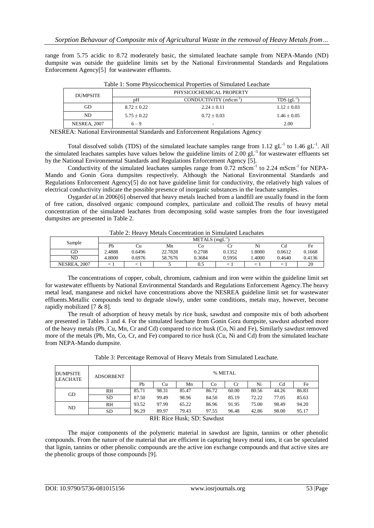range from 5.75 acidic to 8.72 moderately basic, the simulated leachate sample from NEPA-Mando (ND) dumpsite was outside the guideline limits set by the National Environmental Standards and Regulations Enforcement Agency[5] for wastewater effluents.

| <b>DUMPSITE</b>     |                 | PHYSICOCHEMICAL PROPERTY          |                 |
|---------------------|-----------------|-----------------------------------|-----------------|
|                     | pΗ              | CONDUCTIVITY (mScm <sup>-1)</sup> | TDS(gL)         |
| GD                  | $8.72 \pm 0.22$ | $2.24 \pm 0.11$                   | $1.12 \pm 0.03$ |
| ND.                 | $5.75 + 0.22$   | $0.72 \pm 0.03$                   | $1.46 \pm 0.05$ |
| <b>NESREA, 2007</b> | $6 - 9$         | -                                 | 2.00            |

Table 1: Some Physicochemical Properties of Simulated Leachate

NESREA: National Environmental Standards and Enforcement Regulations Agency

Total dissolved solids (TDS) of the simulated leachate samples range from 1.12  $gL^{-1}$  to 1.46  $gL^{-1}$ . All the simulated leachates samples have values below the guideline limits of 2.00 gL<sup>-1</sup> for wastewater effluents set by the National Environmental Standards and Regulations Enforcement Agency [5].

Conductivity of the simulated leachates samples range from  $0.72 \text{ mScm}^{-1}$  to  $2.24 \text{ mScm}^{-1}$  for NEPA-Mando and Gonin Gora dumpsites respectively. Although the National Environmental Standards and Regulations Enforcement Agency[5] do not have guideline limit for conductivity, the relatively high values of electrical conductivity indicate the possible presence of inorganic substances in the leachate samples.

Oygard*et al.*in 2006[6] observed that heavy metals leached from a landfill are usually found in the form of free cation, dissolved organic compound complex, particulate and colloid.The results of heavy metal concentration of the simulated leachates from decomposing solid waste samples from the four investigated dumpsites are presented in Table 2.

Table 2: Heavy Metals Concentration in Simulated Leachates

| Sample          |        |        |         | $METALS$ (mgL <sup>-1</sup> ) |        |       |        |        |
|-----------------|--------|--------|---------|-------------------------------|--------|-------|--------|--------|
|                 | Ph     | υu     | Mn      | CO                            |        |       | Uα     | Fe     |
| GD              | 2.4888 | 0.6496 | 22.7828 | 0.2708                        | 0.1352 | .8000 | 0.0612 | 0.1668 |
| ND              | 4.8000 | 0.6976 | 58.7676 | 0.3684                        | 0.5956 | .4000 | 0.4640 | 0.4136 |
| 2007<br>NESREA, |        |        |         | U.S                           |        |       |        | 20     |

The concentrations of copper, cobalt, chromium, cadmium and iron were within the guideline limit set for wastewater effluents by National Environmental Standards and Regulations Enforcement Agency.The heavy metal lead, manganese and nickel have concentrations above the NESREA guideline limit set for wastewater effluents.Metallic compounds tend to degrade slowly, under some conditions, metals may, however, become rapidly mobilized [7 & 8].

The result of adsorption of heavy metals by rice husk, sawdust and composite mix of both adsorbent are presented in Tables 3 and 4. For the simulated leachate from Gonin Gora dumpsite, sawdust adsorbed more of the heavy metals (Pb, Cu, Mn, Cr and Cd) compared to rice husk (Co, Ni and Fe), Similarly sawdust removed more of the metals (Pb, Mn, Co, Cr, and Fe) compared to rice husk (Cu, Ni and Cd) from the simulated leachate from NEPA-Mando dumpsite.

| DUMPSITE<br>LEACHATE | <b>ADSORBENT</b> |       | % METAL |       |                |       |       |                |       |  |
|----------------------|------------------|-------|---------|-------|----------------|-------|-------|----------------|-------|--|
|                      |                  | Pb    | Cu      | Mn    | C <sub>0</sub> | Cr.   | Ni    | C <sub>d</sub> | Fe    |  |
| GD                   | <b>RH</b>        | 85.71 | 98.31   | 85.47 | 86.72          | 60.00 | 80.56 | 44.26          | 86.83 |  |
|                      | <b>SD</b>        | 87.50 | 99.49   | 98.96 | 84.50          | 85.19 | 72.22 | 77.05          | 85.63 |  |
| ND                   | <b>RH</b>        | 93.52 | 97.99   | 65.22 | 86.96          | 91.95 | 75.00 | 98.49          | 94.20 |  |
|                      | <b>SD</b>        | 96.29 | 89.97   | 79.43 | 97.55          | 96.48 | 42.86 | 98.00          | 95.17 |  |

Table 3: Percentage Removal of Heavy Metals from Simulated Leachate.

RH: Rice Husk; SD: Sawdust

The major components of the polymeric material in sawdust are lignin, tannins or other phenolic compounds. From the nature of the material that are efficient in capturing heavy metal ions, it can be speculated that lignin, tannins or other phenolic compounds are the active ion exchange compounds and that active sites are the phenolic groups of those compounds [9].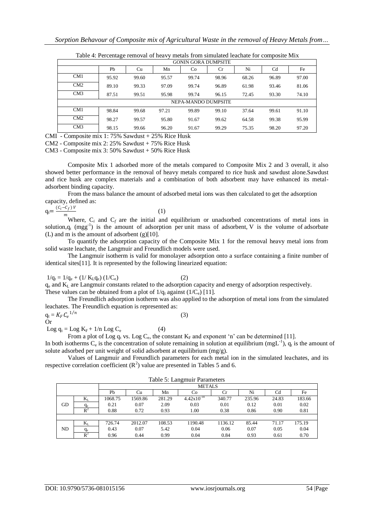|                 | -- 7                       |       |       |                     |             |       |                |       |  |  |
|-----------------|----------------------------|-------|-------|---------------------|-------------|-------|----------------|-------|--|--|
|                 | <b>GONIN GORA DUMPSITE</b> |       |       |                     |             |       |                |       |  |  |
|                 | Pb                         | Cu    | Mn    | Co                  | $_{\rm Cr}$ | Ni    | C <sub>d</sub> | Fe    |  |  |
| CM <sub>1</sub> | 95.92                      | 99.60 | 95.57 | 99.74               | 98.96       | 68.26 | 96.89          | 97.00 |  |  |
| CM2             | 89.10                      | 99.33 | 97.09 | 99.74               | 96.89       | 61.98 | 93.46          | 81.06 |  |  |
| CM3             | 87.51                      | 99.51 | 95.98 | 99.74               | 96.15       | 72.45 | 93.30          | 74.10 |  |  |
|                 |                            |       |       | NEPA-MANDO DUMPSITE |             |       |                |       |  |  |
| CM <sub>1</sub> | 98.84                      | 99.68 | 97.21 | 99.89               | 99.10       | 37.64 | 99.61          | 91.10 |  |  |
| CM2             | 98.27                      | 99.57 | 95.80 | 91.67               | 99.62       | 64.58 | 99.38          | 95.99 |  |  |
| CM3             | 98.15                      | 99.66 | 96.20 | 91.67               | 99.29       | 75.35 | 98.20          | 97.20 |  |  |

Table 4: Percentage removal of heavy metals from simulated leachate for composite Mix

CMI - Composite mix 1: 75% Sawdust + 25% Rice Husk

CM2 - Composite mix 2: 25% Sawdust + 75% Rice Husk

CM3 - Composite mix 3: 50% Sawdust + 50% Rice Husk

Composite Mix 1 adsorbed more of the metals compared to Composite Mix 2 and 3 overall, it also showed better performance in the removal of heavy metals compared to rice husk and sawdust alone.Sawdust and rice husk are complex materials and a combination of both adsorbent may have enhanced its metaladsorbent binding capacity.

From the mass balance the amount of adsorbed metal ions was then calculated to get the adsorption capacity, defined as:

$$
q_t = \frac{(c_i - c_f) v}{m_{\text{avg}}}
$$
 (1)

Where,  $C_i$  and  $C_f$  are the initial and equilibrium or unadsorbed concentrations of metal ions in solution, $q_t$  (mgg<sup>-1</sup>) is the amount of adsorption per unit mass of adsorbent, V is the volume of adsorbate (L) and m is the amount of adsorbent (g)[10].

To quantify the adsorption capacity of the Composite Mix 1 for the removal heavy metal ions from solid waste leachate, the Langmuir and Freundlich models were used.

The Langmuir isotherm is valid for monolayer adsorption onto a surface containing a finite number of identical sites[11]. It is represented by the following linearized equation:

# $1/q_t = 1/q_e + (1/K_Lq_e) (1/C_e)$  (2)

q<sup>e</sup> and K<sup>L</sup> are Langmuir constants related to the adsorption capacity and energy of adsorption respectively. These values can be obtained from a plot of  $1/q_t$  against (1/C<sub>e</sub>) [11].

The Freundlich adsorption isotherm was also applied to the adsorption of metal ions from the simulated leachates. The Freundlich equation is represented as:  $1/n$ 

(3)

$$
\mathrm{q_t}=K_F\, \mathcal{C}_e
$$

Or

Log  $q_t =$ Log  $K_F$  + 1/n Log  $C_e$  (4)

From a plot of Log  $q_t$  vs. Log  $C_e$ , the constant  $K_F$  and exponent 'n' can be determined [11].

In both isotherms  $C_e$  is the concentration of solute remaining in solution at equilibrium (mgL<sup>-1</sup>),  $q_t$  is the amount of solute adsorbed per unit weight of solid adsorbent at equilibrium (mg/g).

Values of Langmuir and Freundlich parameters for each metal ion in the simulated leachates, and its respective correlation coefficient  $(R^2)$  value are presented in Tables 5 and 6.

|    | Table 5: Langmuir Parameters |                                        |               |        |                 |         |        |       |        |  |  |
|----|------------------------------|----------------------------------------|---------------|--------|-----------------|---------|--------|-------|--------|--|--|
|    |                              |                                        | <b>METALS</b> |        |                 |         |        |       |        |  |  |
|    |                              | Ni<br>Pb<br>Mn<br>Cd<br>Cr<br>Cu<br>Co |               |        |                 |         |        |       | Fe     |  |  |
|    | $\rm K_L$                    | 1068.75                                | 1569.86       | 281.29 | $4.42x10^{-14}$ | 340.77  | 235.96 | 24.83 | 183.66 |  |  |
| GD |                              | 0.21                                   | 0.07          | 2.09   | 0.03            | 0.01    | 0.12   | 0.01  | 0.02   |  |  |
|    | $R^2$                        | 0.88                                   | 0.72          | 0.93   | 1.00            | 0.38    | 0.86   | 0.90  | 0.81   |  |  |
|    |                              |                                        |               |        |                 |         |        |       |        |  |  |
|    | $\rm K_L$                    | 726.74                                 | 2012.07       | 108.53 | 1190.48         | 1136.12 | 85.44  | 71.17 | 175.19 |  |  |
| ND | $q_e$                        | 0.43                                   | 0.07          | 5.42   | 0.04            | 0.06    | 0.07   | 0.05  | 0.04   |  |  |
|    | $R^2$                        | 0.96                                   | 0.44          | 0.99   | 0.04            | 0.84    | 0.93   | 0.61  | 0.70   |  |  |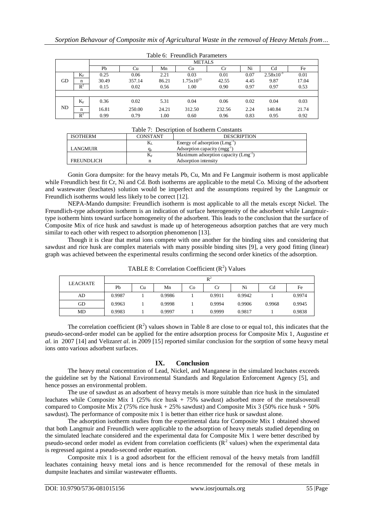|    | Table 0. Fleuildtich Falameters |       |               |       |                       |        |      |                |       |  |  |  |
|----|---------------------------------|-------|---------------|-------|-----------------------|--------|------|----------------|-------|--|--|--|
|    |                                 |       | <b>METALS</b> |       |                       |        |      |                |       |  |  |  |
|    |                                 | Pb    | Cu            | Mn    | C <sub>o</sub>        | Cr     | Ni   | Cd             | Fe    |  |  |  |
|    | $\rm K_F$                       | 0.25  | 0.06          | 2.21  | 0.03                  | 0.01   | 0.07 | $2.58x10^{-3}$ | 0.01  |  |  |  |
| GD | n                               | 30.49 | 357.14        | 86.21 | $1.75 \times 10^{13}$ | 42.55  | 4.45 | 9.87           | 17.04 |  |  |  |
|    | $R^2$                           | 0.15  | 0.02          | 0.56  | 1.00                  | 0.90   | 0.97 | 0.97           | 0.53  |  |  |  |
|    |                                 |       |               |       |                       |        |      |                |       |  |  |  |
|    | $K_F$                           | 0.36  | 0.02          | 5.31  | 0.04                  | 0.06   | 0.02 | 0.04           | 0.03  |  |  |  |
| ND | n                               | 16.81 | 250.00        | 24.21 | 312.50                | 232.56 | 2.24 | 140.84         | 21.74 |  |  |  |
|    | $R^2$                           | 0.99  | 0.79          | 1.00  | 0.60                  | 0.96   | 0.83 | 0.95           | 0.92  |  |  |  |

|  |  | Table 6: Freundlich Parameters |
|--|--|--------------------------------|
|--|--|--------------------------------|

|  | Table 7: Description of Isotherm Constants |  |  |
|--|--------------------------------------------|--|--|
|--|--------------------------------------------|--|--|

| <b>ISOTHERM</b> | <b>CONSTANT</b> | <b>DESCRIPTION</b>                       |
|-----------------|-----------------|------------------------------------------|
|                 | $\rm K_L$       | Energy of adsorption $(Lmg^{-1})$        |
| LANGMUIR        | <b>G</b> e      | Adsorption capacity $(mgg^{-1})$         |
|                 | $K_{\rm F}$     | Maximum adsorption capacity $(Lmg^{-1})$ |
| FREUNDLICH      | n               | Adsorption intensity                     |

Gonin Gora dumpsite: for the heavy metals Pb, Cu, Mn and Fe Langmuir isotherm is most applicable while Freundlich best fit Cr, Ni and Cd. Both isotherms are applicable to the metal Co. Mixing of the adsorbent and wastewater (leachates) solution would be imperfect and the assumptions required by the Langmuir or Freundlich isotherms would less likely to be correct [12].

NEPA-Mando dumpsite: Freundlich isotherm is most applicable to all the metals except Nickel. The Freundlich-type adsorption isotherm is an indication of surface heterogeneity of the adsorbent while Langmuirtype isotherm hints toward surface homogeneity of the adsorbent. This leads to the conclusion that the surface of Composite Mix of rice husk and sawdust is made up of heterogeneous adsorption patches that are very much similar to each other with respect to adsorption phenomenon [13].

Though it is clear that metal ions compete with one another for the binding sites and considering that sawdust and rice husk are complex materials with many possible binding sites [9], a very good fitting (linear) graph was achieved between the experimental results confirming the second order kinetics of the adsorption.

| <b>LEACHATE</b> |        |    |        |    | $\mathbb{R}^2$ |        |                |        |
|-----------------|--------|----|--------|----|----------------|--------|----------------|--------|
|                 | Pb     | Cu | Mn     | Co | Cr             | Ni     | C <sub>d</sub> | Fe     |
| AD              | 0.9987 |    | 0.9986 |    | 0.9911         | 0.9942 |                | 0.9974 |
| GD              | 0.9963 |    | 0.9998 |    | 0.9994         | 0.9906 | 0.9968         | 0.9945 |
| MD              | 0.9983 |    | 0.9997 |    | 0.9999         | 0.9817 |                | 0.9838 |

TABLE 8: Correlation Coefficient  $(R^2)$  Values

The correlation coefficient  $(R^2)$  values shown in Table 8 are close to or equal to1, this indicates that the pseudo-second-order model can be applied for the entire adsorption process for Composite Mix 1, Augustine *et al*. in 2007 [14] and Velizar*et al*. in 2009 [15] reported similar conclusion for the sorption of some heavy metal ions onto various adsorbent surfaces.

#### **IX. Conclusion**

The heavy metal concentration of Lead, Nickel, and Manganese in the simulated leachates exceeds the guideline set by the National Environmental Standards and Regulation Enforcement Agency [5], and hence posses an environmental problem.

The use of sawdust as an adsorbent of heavy metals is more suitable than rice husk in the simulated leachates while Composite Mix 1 (25% rice husk + 75% sawdust) adsorbed more of the metalsoverall compared to Composite Mix 2 (75% rice husk  $+ 25%$  sawdust) and Composite Mix 3 (50% rice husk  $+ 50%$ sawdust). The performance of composite mix 1 is better than either rice husk or sawdust alone.

The adsorption isotherm studies from the experimental data for Composite Mix 1 obtained showed that both Langmuir and Freundlich were applicable to the adsorption of heavy metals studied depending on the simulated leachate considered and the experimental data for Composite Mix 1 were better described by pseudo-second order model as evident from correlation coefficients  $(\mathbf{R}^2)$  values) when the experimental data is regressed against a pseudo-second order equation.

Composite mix 1 is a good adsorbent for the efficient removal of the heavy metals from landfill leachates containing heavy metal ions and is hence recommended for the removal of these metals in dumpsite leachates and similar wastewater effluents.